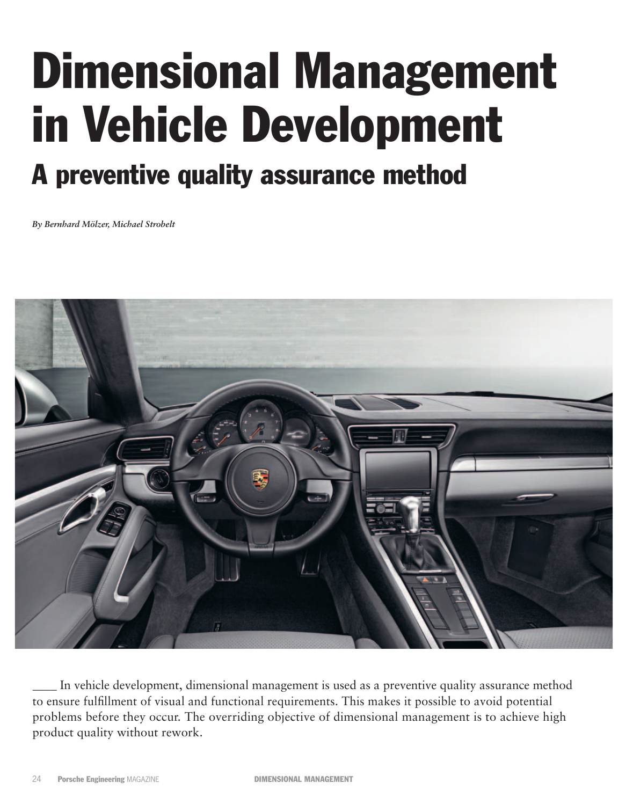# Dimensional Management in Vehicle Development A preventive quality assurance method

# *By Bernhard Mölzer, Michael Strobelt*



In vehicle development, dimensional management is used as a preventive quality assurance method to ensure fulfillment of visual and functional requirements. This makes it possible to avoid potential problems before they occur. The overriding objective of dimensional management is to achieve high product quality without rework.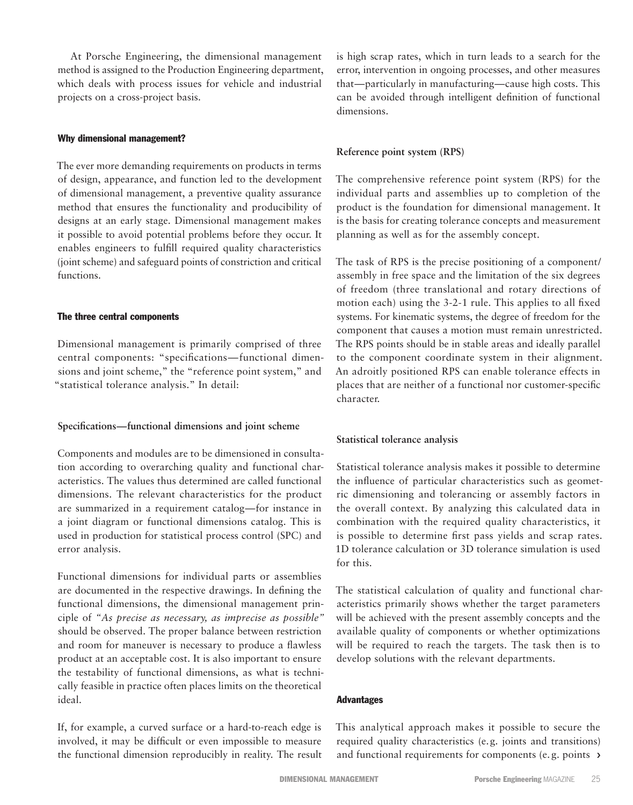At Porsche Engineering, the dimensional management method is assigned to the Production Engineering department, which deals with process issues for vehicle and industrial projects on a cross-project basis.

## Why dimensional management?

The ever more demanding requirements on products in terms of design, appearance, and function led to the development of dimensional management, a preventive quality assurance method that ensures the functionality and producibility of designs at an early stage. Dimensional management makes it possible to avoid potential problems before they occur. It enables engineers to fulfill required quality characteristics (joint scheme) and safeguard points of constriction and critical functions.

## The three central components

Dimensional management is primarily comprised of three central components: "specifications—functional dimensions and joint scheme," the "reference point system," and "statistical tolerance analysis." In detail:

## **Specifications—functional dimensions and joint scheme**

Components and modules are to be dimensioned in consultation according to overarching quality and functional characteristics. The values thus determined are called functional dimensions. The relevant characteristics for the product are summarized in a requirement catalog—for instance in a joint diagram or functional dimensions catalog. This is used in production for statistical process control (SPC) and error analysis.

Functional dimensions for individual parts or assemblies are documented in the respective drawings. In defining the functional dimensions, the dimensional management principle of *"As precise as necessary, as imprecise as possible"* should be observed. The proper balance between restriction and room for maneuver is necessary to produce a flawless product at an acceptable cost. It is also important to ensure the testability of functional dimensions, as what is technically feasible in practice often places limits on the theoretical ideal.

If, for example, a curved surface or a hard-to-reach edge is involved, it may be difficult or even impossible to measure the functional dimension reproducibly in reality. The result is high scrap rates, which in turn leads to a search for the error, intervention in ongoing processes, and other measures that—particularly in manufacturing—cause high costs. This can be avoided through intelligent definition of functional dimensions.

## **Reference point system (RPS)**

The comprehensive reference point system (RPS) for the individual parts and assemblies up to completion of the product is the foundation for dimensional management. It is the basis for creating tolerance concepts and measurement planning as well as for the assembly concept.

The task of RPS is the precise positioning of a component/ assembly in free space and the limitation of the six degrees of freedom (three translational and rotary directions of motion each) using the 3-2-1 rule. This applies to all fixed systems. For kinematic systems, the degree of freedom for the component that causes a motion must remain unrestricted. The RPS points should be in stable areas and ideally parallel to the component coordinate system in their alignment. An adroitly positioned RPS can enable tolerance effects in places that are neither of a functional nor customer-specific character.

# **Statistical tolerance analysis**

Statistical tolerance analysis makes it possible to determine the influence of particular characteristics such as geometric dimensioning and tolerancing or assembly factors in the overall context. By analyzing this calculated data in combination with the required quality characteristics, it is possible to determine first pass yields and scrap rates. 1D tolerance calculation or 3D tolerance simulation is used for this.

The statistical calculation of quality and functional characteristics primarily shows whether the target parameters will be achieved with the present assembly concepts and the available quality of components or whether optimizations will be required to reach the targets. The task then is to develop solutions with the relevant departments.

## **Advantages**

and functional requirements for components (e.g. points) This analytical approach makes it possible to secure the required quality characteristics (e. g. joints and transitions)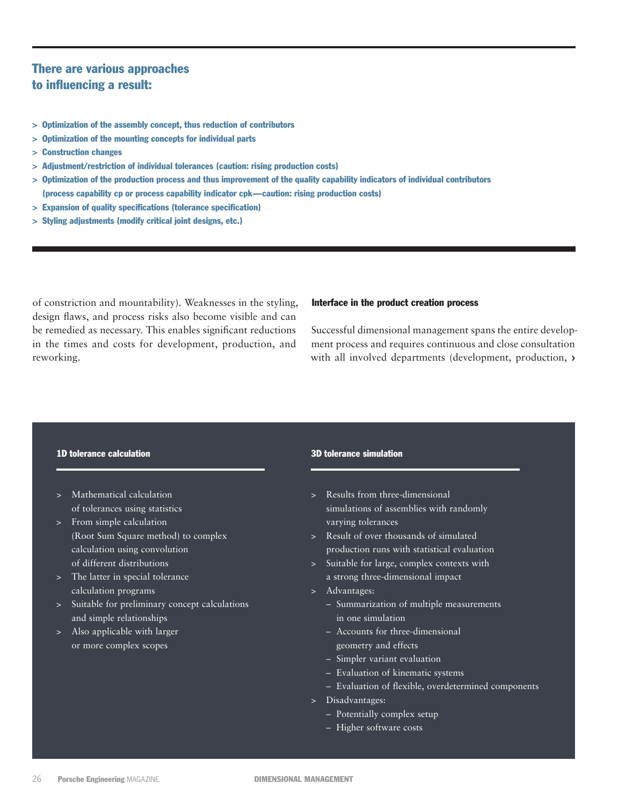# There are various approaches to influencing a result:

- > Optimization of the assembly concept, thus reduction of contributors
- > Optimization of the mounting concepts for individual parts
- > Construction changes
- > Adjustment/restriction of individual tolerances (caution: rising production costs)
- > Optimization of the production process and thus improvement of the quality capability indicators of individual contributors (process capability cp or process capability indicator cpk—caution: rising production costs)
- > Expansion of quality specifications (tolerance specification)
- > Styling adjustments (modify critical joint designs, etc.)

of constriction and mountability). Weaknesses in the styling, design flaws, and process risks also become visible and can be remedied as necessary. This enables significant reductions in the times and costs for development, production, and reworking.

#### Interface in the product creation process

Successful dimensional management spans the entire development process and requires continuous and close consultation with all involved departments (development, production, ›

## 1D tolerance calculation

- > Mathematical calculation of tolerances using statistics
- > From simple calculation (Root Sum Square method) to complex calculation using convolution of different distributions
- > The latter in special tolerance calculation programs
- > Suitable for preliminary concept calculations and simple relationships
- > Also applicable with larger or more complex scopes

#### 3D tolerance simulation

- > Results from three-dimensional simulations of assemblies with randomly varying tolerances
- > Result of over thousands of simulated production runs with statistical evaluation
- > Suitable for large, complex contexts with a strong three-dimensional impact
- > Advantages:
	- Summarization of multiple measurements in one simulation
	- Accounts for three-dimensional geometry and effects
	- Simpler variant evaluation
	- Evaluation of kinematic systems
	- Evaluation of flexible, overdetermined components
- > Disadvantages:
	- Potentially complex setup
	- Higher software costs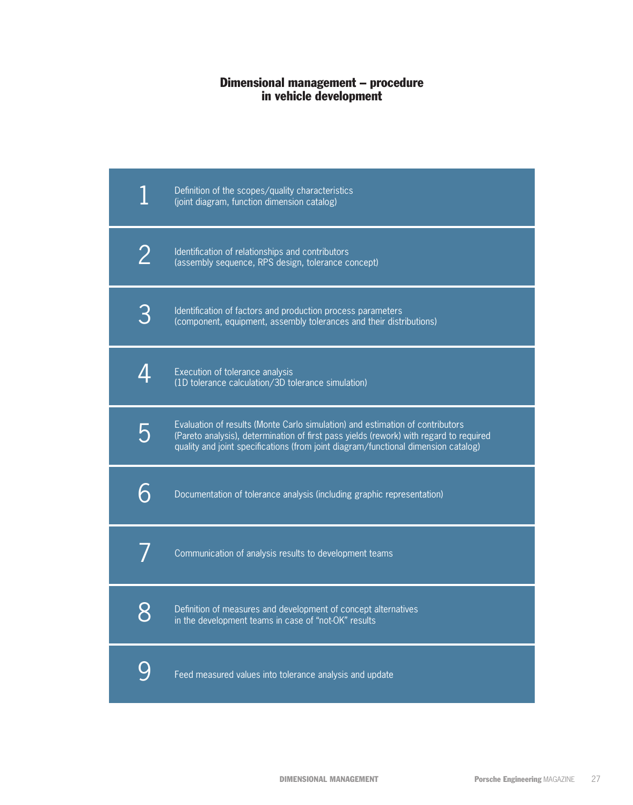# Dimensional management – procedure in vehicle development

|   | Definition of the scopes/quality characteristics<br>(joint diagram, function dimension catalog)                                                                                                                                                               |
|---|---------------------------------------------------------------------------------------------------------------------------------------------------------------------------------------------------------------------------------------------------------------|
| 2 | Identification of relationships and contributors<br>(assembly sequence, RPS design, tolerance concept)                                                                                                                                                        |
| 3 | Identification of factors and production process parameters<br>(component, equipment, assembly tolerances and their distributions)                                                                                                                            |
| Δ | Execution of tolerance analysis<br>(1D tolerance calculation/3D tolerance simulation)                                                                                                                                                                         |
| 5 | Evaluation of results (Monte Carlo simulation) and estimation of contributors<br>(Pareto analysis), determination of first pass yields (rework) with regard to required<br>quality and joint specifications (from joint diagram/functional dimension catalog) |
| 6 | Documentation of tolerance analysis (including graphic representation)                                                                                                                                                                                        |
|   | Communication of analysis results to development teams                                                                                                                                                                                                        |
| 8 | Definition of measures and development of concept alternatives<br>in the development teams in case of "not-OK" results                                                                                                                                        |
|   | Feed measured values into tolerance analysis and update                                                                                                                                                                                                       |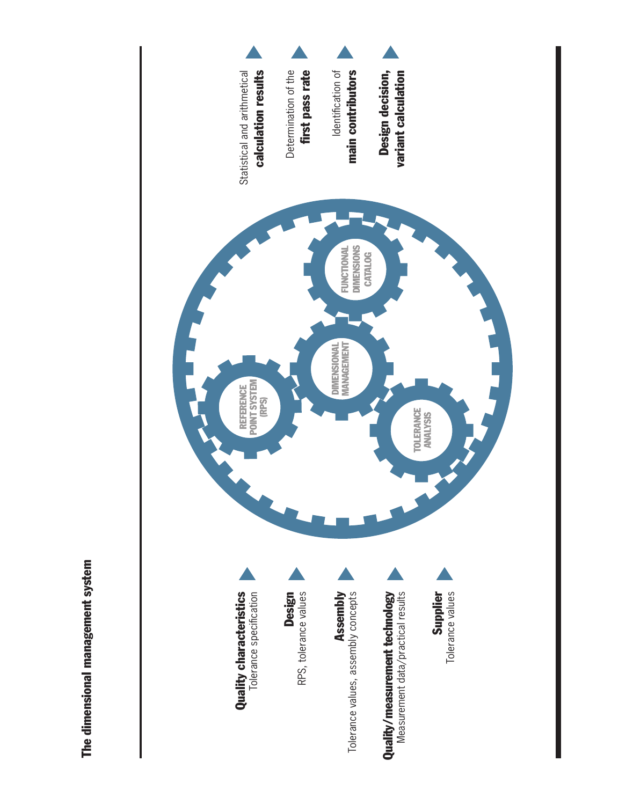